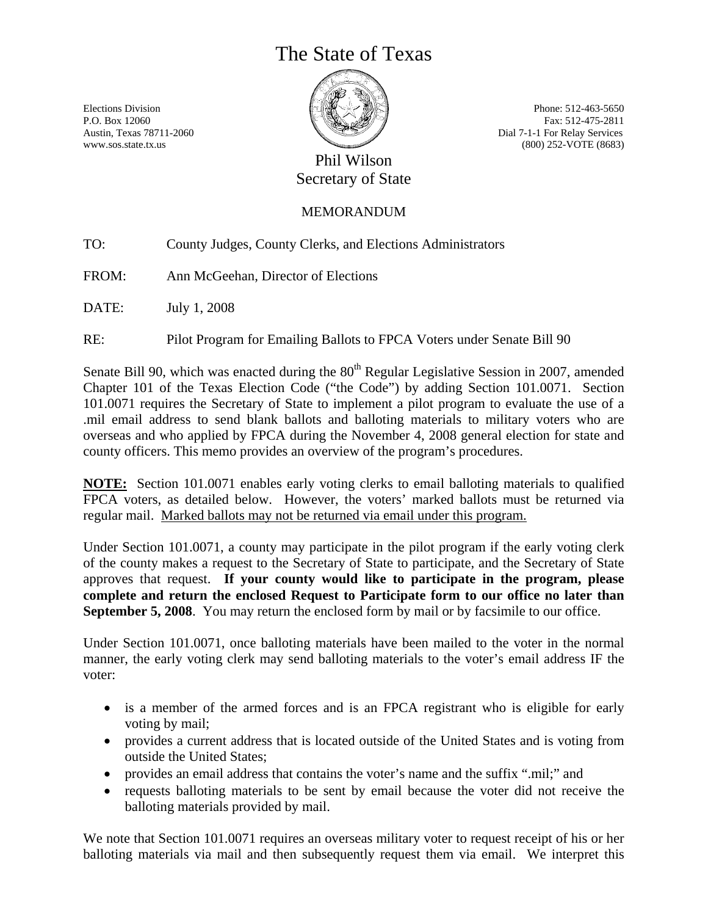# The State of Texas

Elections Division P.O. Box 12060 Austin, Texas 78711-2060 www.sos.state.tx.us

Phone: 512-463-5650 Fax: 512-475-2811 Dial 7-1-1 For Relay Services (800) 252-VOTE (8683)

# Phil Wilson Secretary of State

# MEMORANDUM

TO: County Judges, County Clerks, and Elections Administrators

FROM: Ann McGeehan, Director of Elections

DATE: July 1, 2008

RE: Pilot Program for Emailing Ballots to FPCA Voters under Senate Bill 90

Senate Bill 90, which was enacted during the  $80<sup>th</sup>$  Regular Legislative Session in 2007, amended Chapter 101 of the Texas Election Code ("the Code") by adding Section 101.0071. Section 101.0071 requires the Secretary of State to implement a pilot program to evaluate the use of a .mil email address to send blank ballots and balloting materials to military voters who are overseas and who applied by FPCA during the November 4, 2008 general election for state and county officers. This memo provides an overview of the program's procedures.

**NOTE:** Section 101.0071 enables early voting clerks to email balloting materials to qualified FPCA voters, as detailed below. However, the voters' marked ballots must be returned via regular mail. Marked ballots may not be returned via email under this program.

Under Section 101.0071, a county may participate in the pilot program if the early voting clerk of the county makes a request to the Secretary of State to participate, and the Secretary of State approves that request. **If your county would like to participate in the program, please complete and return the enclosed Request to Participate form to our office no later than September 5, 2008**. You may return the enclosed form by mail or by facsimile to our office.

Under Section 101.0071, once balloting materials have been mailed to the voter in the normal manner, the early voting clerk may send balloting materials to the voter's email address IF the voter:

- is a member of the armed forces and is an FPCA registrant who is eligible for early voting by mail;
- provides a current address that is located outside of the United States and is voting from outside the United States;
- provides an email address that contains the voter's name and the suffix ".mil;" and
- requests balloting materials to be sent by email because the voter did not receive the balloting materials provided by mail.

We note that Section 101.0071 requires an overseas military voter to request receipt of his or her balloting materials via mail and then subsequently request them via email. We interpret this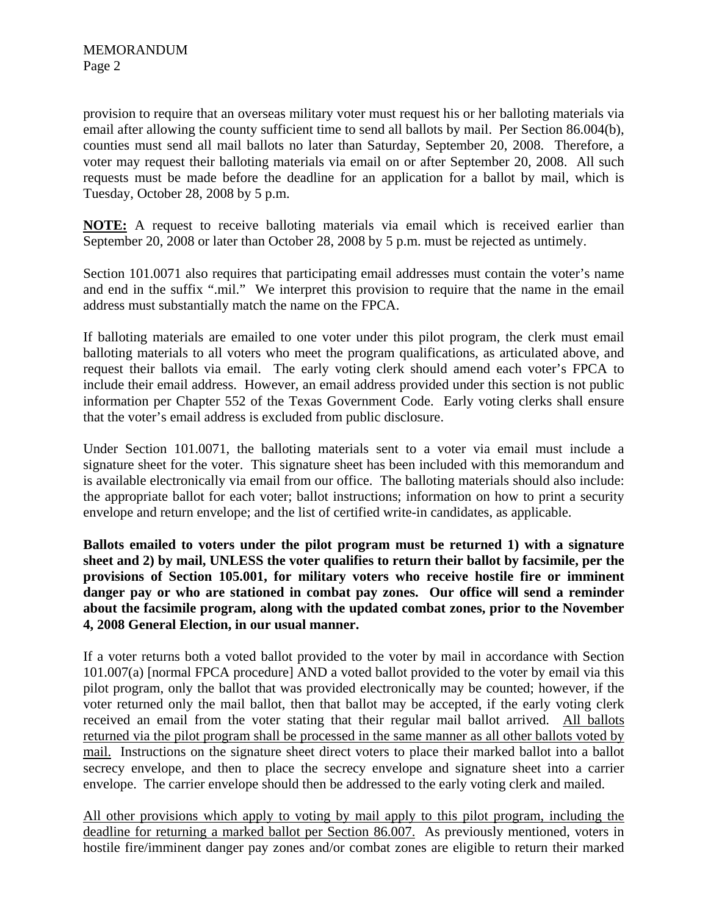provision to require that an overseas military voter must request his or her balloting materials via email after allowing the county sufficient time to send all ballots by mail. Per Section 86.004(b), counties must send all mail ballots no later than Saturday, September 20, 2008. Therefore, a voter may request their balloting materials via email on or after September 20, 2008. All such requests must be made before the deadline for an application for a ballot by mail, which is Tuesday, October 28, 2008 by 5 p.m.

**NOTE:** A request to receive balloting materials via email which is received earlier than September 20, 2008 or later than October 28, 2008 by 5 p.m. must be rejected as untimely.

Section 101.0071 also requires that participating email addresses must contain the voter's name and end in the suffix ".mil." We interpret this provision to require that the name in the email address must substantially match the name on the FPCA.

If balloting materials are emailed to one voter under this pilot program, the clerk must email balloting materials to all voters who meet the program qualifications, as articulated above, and request their ballots via email. The early voting clerk should amend each voter's FPCA to include their email address. However, an email address provided under this section is not public information per Chapter 552 of the Texas Government Code. Early voting clerks shall ensure that the voter's email address is excluded from public disclosure.

Under Section 101.0071, the balloting materials sent to a voter via email must include a signature sheet for the voter. This signature sheet has been included with this memorandum and is available electronically via email from our office. The balloting materials should also include: the appropriate ballot for each voter; ballot instructions; information on how to print a security envelope and return envelope; and the list of certified write-in candidates, as applicable.

**Ballots emailed to voters under the pilot program must be returned 1) with a signature sheet and 2) by mail, UNLESS the voter qualifies to return their ballot by facsimile, per the provisions of Section 105.001, for military voters who receive hostile fire or imminent danger pay or who are stationed in combat pay zones. Our office will send a reminder about the facsimile program, along with the updated combat zones, prior to the November 4, 2008 General Election, in our usual manner.** 

If a voter returns both a voted ballot provided to the voter by mail in accordance with Section 101.007(a) [normal FPCA procedure] AND a voted ballot provided to the voter by email via this pilot program, only the ballot that was provided electronically may be counted; however, if the voter returned only the mail ballot, then that ballot may be accepted, if the early voting clerk received an email from the voter stating that their regular mail ballot arrived. All ballots returned via the pilot program shall be processed in the same manner as all other ballots voted by mail. Instructions on the signature sheet direct voters to place their marked ballot into a ballot secrecy envelope, and then to place the secrecy envelope and signature sheet into a carrier envelope. The carrier envelope should then be addressed to the early voting clerk and mailed.

All other provisions which apply to voting by mail apply to this pilot program, including the deadline for returning a marked ballot per Section 86.007. As previously mentioned, voters in hostile fire/imminent danger pay zones and/or combat zones are eligible to return their marked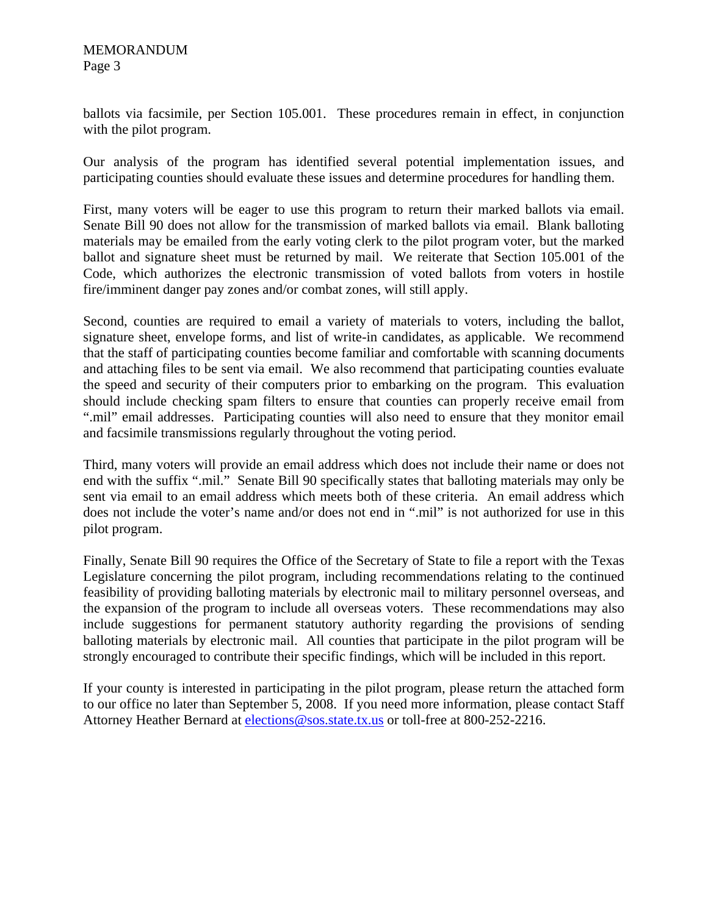ballots via facsimile, per Section 105.001. These procedures remain in effect, in conjunction with the pilot program.

Our analysis of the program has identified several potential implementation issues, and participating counties should evaluate these issues and determine procedures for handling them.

First, many voters will be eager to use this program to return their marked ballots via email. Senate Bill 90 does not allow for the transmission of marked ballots via email. Blank balloting materials may be emailed from the early voting clerk to the pilot program voter, but the marked ballot and signature sheet must be returned by mail. We reiterate that Section 105.001 of the Code, which authorizes the electronic transmission of voted ballots from voters in hostile fire/imminent danger pay zones and/or combat zones, will still apply.

Second, counties are required to email a variety of materials to voters, including the ballot, signature sheet, envelope forms, and list of write-in candidates, as applicable. We recommend that the staff of participating counties become familiar and comfortable with scanning documents and attaching files to be sent via email. We also recommend that participating counties evaluate the speed and security of their computers prior to embarking on the program. This evaluation should include checking spam filters to ensure that counties can properly receive email from ".mil" email addresses. Participating counties will also need to ensure that they monitor email and facsimile transmissions regularly throughout the voting period.

Third, many voters will provide an email address which does not include their name or does not end with the suffix ".mil." Senate Bill 90 specifically states that balloting materials may only be sent via email to an email address which meets both of these criteria. An email address which does not include the voter's name and/or does not end in ".mil" is not authorized for use in this pilot program.

Finally, Senate Bill 90 requires the Office of the Secretary of State to file a report with the Texas Legislature concerning the pilot program, including recommendations relating to the continued feasibility of providing balloting materials by electronic mail to military personnel overseas, and the expansion of the program to include all overseas voters. These recommendations may also include suggestions for permanent statutory authority regarding the provisions of sending balloting materials by electronic mail. All counties that participate in the pilot program will be strongly encouraged to contribute their specific findings, which will be included in this report.

If your county is interested in participating in the pilot program, please return the attached form to our office no later than September 5, 2008. If you need more information, please contact Staff Attorney Heather Bernard at elections@sos.state.tx.us or toll-free at 800-252-2216.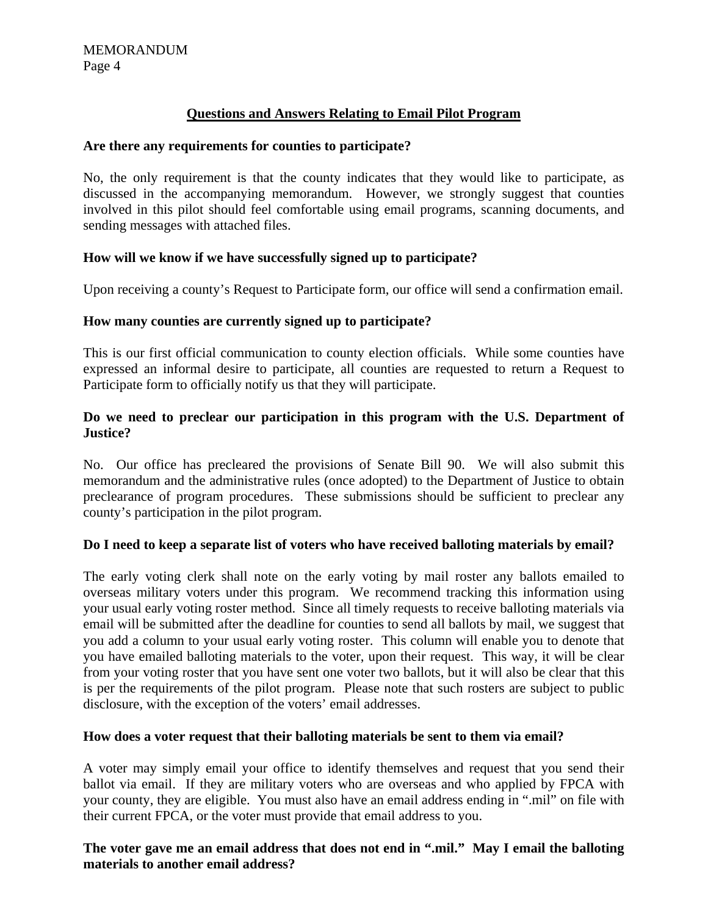# **Questions and Answers Relating to Email Pilot Program**

#### **Are there any requirements for counties to participate?**

No, the only requirement is that the county indicates that they would like to participate, as discussed in the accompanying memorandum. However, we strongly suggest that counties involved in this pilot should feel comfortable using email programs, scanning documents, and sending messages with attached files.

# **How will we know if we have successfully signed up to participate?**

Upon receiving a county's Request to Participate form, our office will send a confirmation email.

# **How many counties are currently signed up to participate?**

This is our first official communication to county election officials. While some counties have expressed an informal desire to participate, all counties are requested to return a Request to Participate form to officially notify us that they will participate.

# **Do we need to preclear our participation in this program with the U.S. Department of Justice?**

No. Our office has precleared the provisions of Senate Bill 90. We will also submit this memorandum and the administrative rules (once adopted) to the Department of Justice to obtain preclearance of program procedures. These submissions should be sufficient to preclear any county's participation in the pilot program.

# **Do I need to keep a separate list of voters who have received balloting materials by email?**

The early voting clerk shall note on the early voting by mail roster any ballots emailed to overseas military voters under this program. We recommend tracking this information using your usual early voting roster method. Since all timely requests to receive balloting materials via email will be submitted after the deadline for counties to send all ballots by mail, we suggest that you add a column to your usual early voting roster. This column will enable you to denote that you have emailed balloting materials to the voter, upon their request. This way, it will be clear from your voting roster that you have sent one voter two ballots, but it will also be clear that this is per the requirements of the pilot program. Please note that such rosters are subject to public disclosure, with the exception of the voters' email addresses.

#### **How does a voter request that their balloting materials be sent to them via email?**

A voter may simply email your office to identify themselves and request that you send their ballot via email. If they are military voters who are overseas and who applied by FPCA with your county, they are eligible. You must also have an email address ending in ".mil" on file with their current FPCA, or the voter must provide that email address to you.

# **The voter gave me an email address that does not end in ".mil." May I email the balloting materials to another email address?**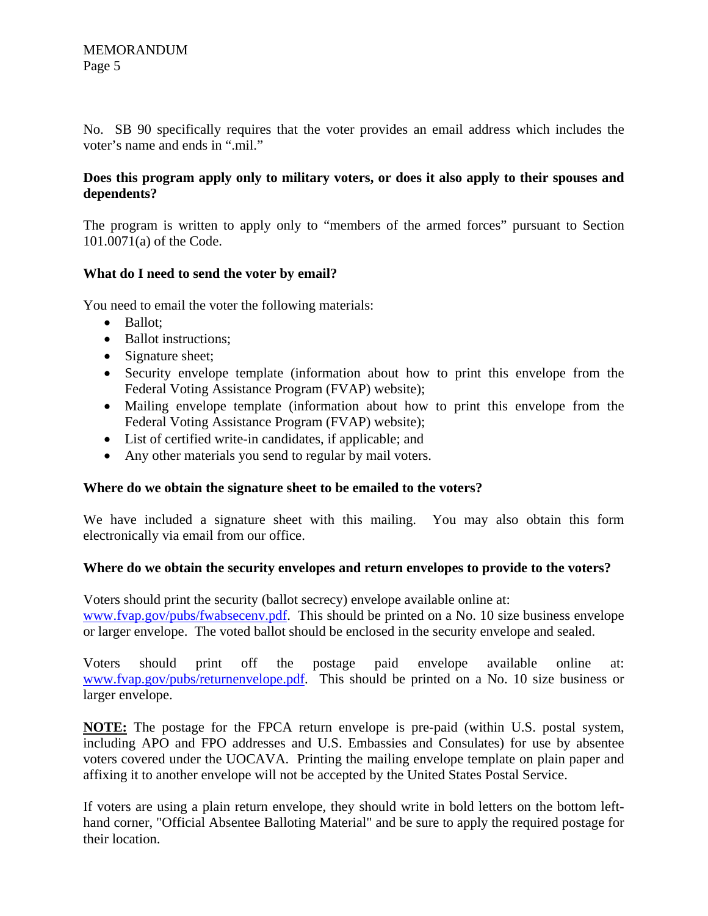No. SB 90 specifically requires that the voter provides an email address which includes the voter's name and ends in ".mil."

# **Does this program apply only to military voters, or does it also apply to their spouses and dependents?**

The program is written to apply only to "members of the armed forces" pursuant to Section 101.0071(a) of the Code.

# **What do I need to send the voter by email?**

You need to email the voter the following materials:

- Ballot;
- Ballot instructions;
- Signature sheet;
- Security envelope template (information about how to print this envelope from the Federal Voting Assistance Program (FVAP) website);
- Mailing envelope template (information about how to print this envelope from the Federal Voting Assistance Program (FVAP) website);
- List of certified write-in candidates, if applicable; and
- Any other materials you send to regular by mail voters.

# **Where do we obtain the signature sheet to be emailed to the voters?**

We have included a signature sheet with this mailing. You may also obtain this form electronically via email from our office.

# **Where do we obtain the security envelopes and return envelopes to provide to the voters?**

Voters should print the security (ballot secrecy) envelope available online at: www.fvap.gov/pubs/fwabsecenv.pdf. This should be printed on a No. 10 size business envelope or larger envelope. The voted ballot should be enclosed in the security envelope and sealed.

Voters should print off the postage paid envelope available online at: www.fvap.gov/pubs/returnenvelope.pdf. This should be printed on a No. 10 size business or larger envelope.

**NOTE:** The postage for the FPCA return envelope is pre-paid (within U.S. postal system, including APO and FPO addresses and U.S. Embassies and Consulates) for use by absentee voters covered under the UOCAVA. Printing the mailing envelope template on plain paper and affixing it to another envelope will not be accepted by the United States Postal Service.

If voters are using a plain return envelope, they should write in bold letters on the bottom lefthand corner, "Official Absentee Balloting Material" and be sure to apply the required postage for their location.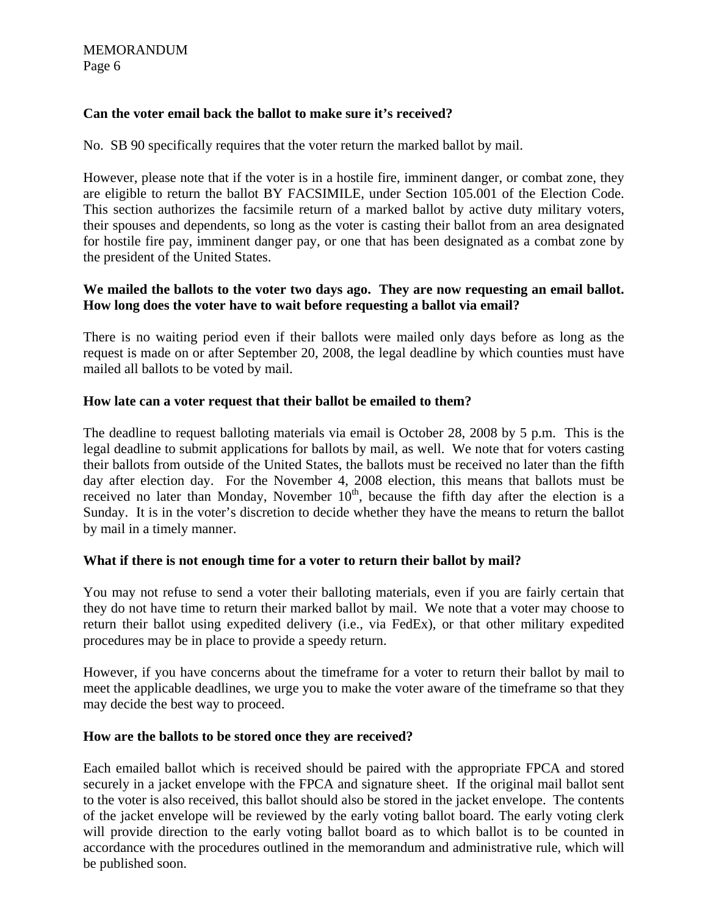# **Can the voter email back the ballot to make sure it's received?**

No. SB 90 specifically requires that the voter return the marked ballot by mail.

However, please note that if the voter is in a hostile fire, imminent danger, or combat zone, they are eligible to return the ballot BY FACSIMILE, under Section 105.001 of the Election Code. This section authorizes the facsimile return of a marked ballot by active duty military voters, their spouses and dependents, so long as the voter is casting their ballot from an area designated for hostile fire pay, imminent danger pay, or one that has been designated as a combat zone by the president of the United States.

# **We mailed the ballots to the voter two days ago. They are now requesting an email ballot. How long does the voter have to wait before requesting a ballot via email?**

There is no waiting period even if their ballots were mailed only days before as long as the request is made on or after September 20, 2008, the legal deadline by which counties must have mailed all ballots to be voted by mail.

# **How late can a voter request that their ballot be emailed to them?**

The deadline to request balloting materials via email is October 28, 2008 by 5 p.m. This is the legal deadline to submit applications for ballots by mail, as well. We note that for voters casting their ballots from outside of the United States, the ballots must be received no later than the fifth day after election day. For the November 4, 2008 election, this means that ballots must be received no later than Monday, November  $10<sup>th</sup>$ , because the fifth day after the election is a Sunday. It is in the voter's discretion to decide whether they have the means to return the ballot by mail in a timely manner.

# **What if there is not enough time for a voter to return their ballot by mail?**

You may not refuse to send a voter their balloting materials, even if you are fairly certain that they do not have time to return their marked ballot by mail. We note that a voter may choose to return their ballot using expedited delivery (i.e., via FedEx), or that other military expedited procedures may be in place to provide a speedy return.

However, if you have concerns about the timeframe for a voter to return their ballot by mail to meet the applicable deadlines, we urge you to make the voter aware of the timeframe so that they may decide the best way to proceed.

# **How are the ballots to be stored once they are received?**

Each emailed ballot which is received should be paired with the appropriate FPCA and stored securely in a jacket envelope with the FPCA and signature sheet. If the original mail ballot sent to the voter is also received, this ballot should also be stored in the jacket envelope. The contents of the jacket envelope will be reviewed by the early voting ballot board. The early voting clerk will provide direction to the early voting ballot board as to which ballot is to be counted in accordance with the procedures outlined in the memorandum and administrative rule, which will be published soon.